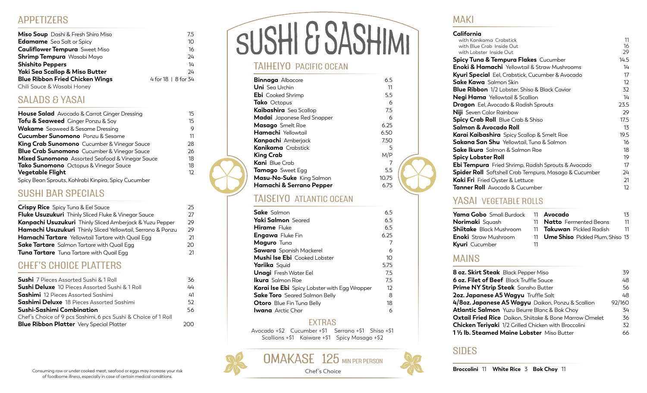## APPETIZERS

| <b>Miso Soup</b> Dashi & Fresh Shiro Miso | 75                  |
|-------------------------------------------|---------------------|
| <b>Edamame</b> Sea Salt or Spicy          | 10                  |
| <b>Cauliflower Tempura</b> Sweet Miso     | 16                  |
| <b>Shrimp Tempura</b> Wasabi Mayo         | 24                  |
| <b>Shishito Peppers</b>                   | 14                  |
| Yaki Sea Scallop & Miso Butter            | 24                  |
| <b>Blue Ribbon Fried Chicken Wings</b>    | 4 for 18   8 for 34 |
| Chili Sauce & Wasabi Honey                |                     |

## SALADS & YASAI

| House Salad Avocado & Carrot Ginger Dressing         | 15 |
|------------------------------------------------------|----|
| <b>Tofu &amp; Seaweed</b> Ginger Ponzu & Soy         | 15 |
| <b>Wakame</b> Seaweed & Sesame Dressing              | 9  |
| <b>Cucumber Sunomono</b> Ponzu & Sesame              | 11 |
| <b>King Crab Sunomono</b> Cucumber & Vinegar Sauce   | 28 |
| <b>Blue Crab Sunomono</b> Cucumber & Vinegar Sauce   | 26 |
| Mixed Sunomono Assorted Seafood & Vinegar Sauce      | 18 |
| Tako Sunomono Octopus & Vinegar Sauce                | 18 |
| <b>Vegetable Flight</b>                              | 12 |
| Spicy Bean Sprouts, Kohlrabi Kinpira, Spicy Cucumber |    |

## SUSHI BAR SPECIALS

| <b>Crispy Rice</b> Spicy Tuna & Eel Sauce                   | 25 |
|-------------------------------------------------------------|----|
| <b>Fluke Usuzukuri</b> Thinly Sliced Fluke & Vinegar Sauce  | 27 |
| Kanpachi Usuzukuri Thinly Sliced Amberjack & Yuzu Pepper    | 29 |
| Hamachi Usuzukuri Thinly Sliced Yellowtail, Serrano & Ponzu | 29 |
| <b>Hamachi Tartare</b> Yellowtail Tartare with Quail Egg    | 21 |
| <b>Sake Tartare</b> Salmon Tartare with Quail Egg           | つの |
| <b>Tuna Tartare</b> Tuna Tartare with Quail Egg             | 21 |
|                                                             |    |

## CHEF'S CHOICE PLATTERS

| 36  |
|-----|
| 44  |
| 41  |
| 52  |
| 56  |
|     |
| ാററ |
|     |

# SUSHI & SASHIMI

### TAIHEIYO PACIFIC OCEAN

| <b>Binnaga</b> Albacore         | 6.5   |
|---------------------------------|-------|
| <b>Uni</b> SealJrchin           | 11    |
| <b>Ebi</b> Cooked Shrimp        | 5.5   |
| <b>Tako</b> Octopus             | 6     |
| Kaibashira Sea Scallop          | 7.5   |
| Madai Japanese Red Snapper      | 6     |
| <b>Masago</b> Smelt Roe         | 6.25  |
| <b>Hamachi</b> Yellowtail       | 6.50  |
| <b>Kanpachi</b> Amberjack       | 7.50  |
| <b>Kanikama</b> Crabstick       | 5     |
| King Crab                       | M/P   |
| <b>Kani</b> Blue Crab           | 7     |
| <b>Tamago</b> Sweet Egg         | 5.5   |
| <b>Masu-No-Suke</b> King Salmon | 10.75 |
| Hamachi & Serrano Pepper        | 6.75  |
|                                 |       |

## TAISEIYO ATLANTIC OCEAN

| <b>Sake</b> Salmon                                  | 6.5  |
|-----------------------------------------------------|------|
|                                                     |      |
| <b>Yaki Salmon</b> Seared                           | 6.5  |
| <b>Hirame</b> Fluke                                 | 6.5  |
| <b>Engawa</b> Fluke Fin                             | 6.25 |
| Maguro Tuna                                         | 7    |
| <b>Sawara</b> Spanish Mackerel                      | 6    |
| <b>Mushi Ise Ebi</b> Cooked Lobster                 | 10   |
| Yariika Squid                                       | 5.75 |
| <b>Unagi</b> Fresh Water Eel                        | 7.5  |
| <b>Ikura</b> Salmon Roe                             | 7.5  |
| <b>Karai Ise Ebi</b> Spicy Lobster with Egg Wrapper | 12   |
| <b>Sake Toro</b> Seared Salmon Belly                | 8    |
| <b>Otoro</b> Blue Fin Tuna Belly                    | 18   |
| <b>Iwana</b> Arctic Char                            | 6    |

### EXTRAS

Avocado +\$2 Cucumber +\$1 Serrano +\$1 Shiso +\$1 Scallions +\$1 Kaiware +\$1 Spicy Masago +\$2

Chef's Choice



| <b>Yama Gobo</b> Small Burdock | 11 |
|--------------------------------|----|
| <b>Norimaki</b> Squash         | 11 |
| <b>Shiitake</b> Black Mushroom | 11 |
| <b>Enoki</b> Straw Mushroom    | 11 |
| Kyuri Cucumber                 | 11 |

YASAI VEGETABLE ROLLS

**Avocado** 13 11 **Natto** Fermented Beans 11 **Takuwan** Pickled Radish 11 **Ume Shiso** Pickled Plum, Shiso 13

## MAINS

| 8 oz. Skirt Steak Black Pepper Miso                            | 39     |
|----------------------------------------------------------------|--------|
| <b>6 oz. Filet of Beef</b> Black Truffle Sauce                 | 48     |
| <b>Prime NY Strip Steak</b> Sansho Butter                      | 56     |
| 2oz. Japanese A5 Wagyu Truffle Salt                            | 48     |
| 4/8oz. Japanese A5 Wagyu Daikon, Ponzu & Scallion              | 92/160 |
| <b>Atlantic Salmon</b> Yuzu Beurre Blanc & Bok Choy            | 34     |
| <b>Oxtail Fried Rice</b> Daikon, Shiitake & Bone Marrow Omelet | 36     |
| <b>Chicken Teriyaki</b> 1/2 Grilled Chicken with Broccolini    | 32     |
| 1 1/2 lb. Steamed Maine Lobster Miso Butter                    | 66.    |

with Kanikama Crabstick 11<br>11 with Blue Crab Inside Out with Blue Crab Inside Out 16 (16)<br>16 with Lobster Inside Out 16 (16)

**Spicy Tuna & Tempura Flakes** Cucumber 14.5 **Enoki & Hamachi** Yellowtail & Straw Mushrooms 14 **Kyuri Special** Eel, Crabstick, Cucumber & Avocado 17 **Sake Kawa** Salmon Skin **12 Blue Ribbon** 1/2 Lobster, Shiso & Black Caviar 32 **Negi Hama** Yellowtail & Scallion 14 **Dragon** Eel, Avocado & Radish Sprouts 23.5 **Niji** Seven Color Rainbow 29 **Spicy Crab Roll** Blue Crab & Shiso 17.5 **Salmon & Avocado Roll** 13 **Karai Kaibashira** Spicy Scallop & Smelt Roe19.5 **Sakana San Shu** Yellowtail, Tuna & Salmon 16 **Sake Ikura** Salmon & Salmon Roe 18 **Spicy Lobster Roll** 19 **Ebi Tempura** Fried Shrimp, Radish Sprouts & Avocado 17 **Spider Roll** Softshell Crab Tempura, Masago & Cucumber 24 **Kaki Fri** Fried Oyster & Lettuce 21 **Tanner Roll** Avocado & Cucumber 12

## SIDES

MAKI

**California**

with Lobster Inside Out